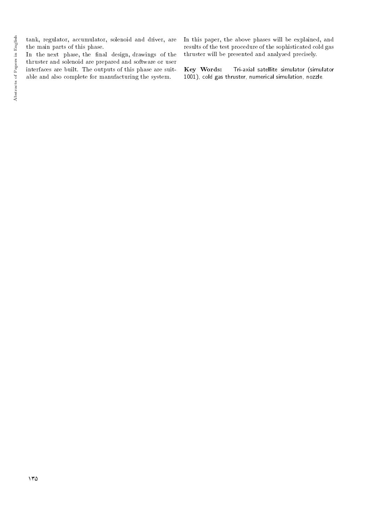tank, regulator, accumulator, solenoid and driver, are the main parts of this phase.

In the next phase, the final design, drawings of the thruster and solenoid are prepared and software or user interfaces are built. The outputs of this phase are suitable and also complete for manufacturing the system.

In this paper, the above phases will be explained, and results of the test procedure of the sophisticated cold gas thruster will be presented and analyzed precisely.

Key Words: Tri-axial satellite simulator (simulator 1001), cold gas thruster, numerical simulation, nozzle.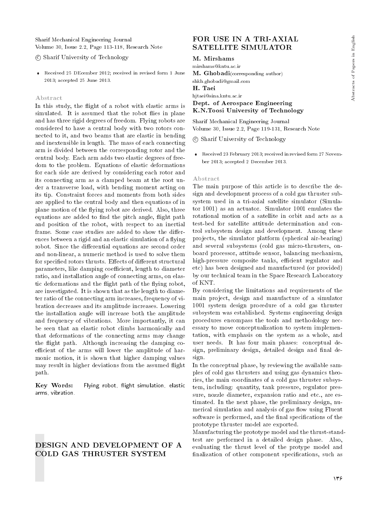Sharif Mechanical Engineering Journal Volume 30, Issue 2.2, Page 113-118, Research Note

c Sharif University of Technology

 Received 25 DEcember 2012; received in revised form 1 June 2013; accepted 25 June 2013.

#### Abstract

In this study, the flight of a robot with elastic arms is simulated. It is assumed that the robot flies in plane and has three rigid degrees of freedom. Flying robots are considered to have a central body with two rotors connected to it, and two beams that are elastic in bending and inextensible in length. The mass of each connecting arm is divided between the corresponding rotor and the central body. Each arm adds two elastic degrees of freedom to the problem. Equations of elastic deformations for each side are derived by considering each rotor and its connecting arm as a clamped beam at the root under a transverse load, with bending moment acting on its tip. Constraint forces and moments from both sides are applied to the central body and then equations of in plane motion of the flying robot are derived. Also, three equations are added to find the pitch angle, flight path and position of the robot, with respect to an inertial frame. Some case studies are added to show the differences between a rigid and an elastic simulation of a flying robot. Since the differential equations are second order and non-linear, a numeric method is used to solve them for specified rotors thrusts. Effects of different structural parameters, like damping coefficient, length to diameter ratio, and installation angle of connecting arms, on elastic deformations and the flight path of the flying robot, are investigated. It is shown that as the length to diameter ratio of the connecting arm increases, frequency of vibration decreases and its amplitude increases. Lowering the installation angle will increase both the amplitude and frequency of vibrations. More importantly, it can be seen that an elastic robot climbs harmonically and that deformations of the connecting arms may change the flight path. Although increasing the damping coefficient of the arms will lower the amplitude of harmonic motion, it is shown that higher damping values may result in higher deviations from the assumed flight path.

Key Words: Flying robot, flight simulation, elastic arms, vibration.

## DESIGN AND DEVELOPMENT OF A COLD GAS THRUSTER SYSTEM

## FOR USE IN A TRI-AXIAL SATELLITE SIMULATOR

#### M. Mirshams

mirshams@kntu.ac.ir

M. Ghobadi(corresponding author) shkh.ghobadi@gmail.com H. Taei hjtaei@sina.kntu.ac.ir Dept. of Aerospace Engineering

Sharif Mechanical Engineering Journal Volume 30, Issue 2.2, Page 119-131, Research Note

K.N.Toosi University of Technology

c Sharif University of Technology

 Received 23 February 2013; received in revised form 27 November 2013; accepted 2 December 2013.

#### Abstract

The main purpose of this article is to describe the design and development process of a cold gas thruster subsystem used in a tri-axial satellite simulator (Simulator 1001) as an actuator. Simulator 1001 emulates the rotational motion of a satellite in orbit and acts as a test-bed for satellite attitude determination and control subsystem design and development. Among these projects, the simulator platform (spherical air-bearing) and several subsystems (cold gas micro-thrusters, onboard processor, attitude sensor, balancing mechanism, high-pressure composite tanks, efficient regulator and etc) has been designed and manufactured (or provided) by our technical team in the Space Research Laboratory of KNT.

By considering the limitations and requirements of the main project, design and manufacture of a simulator 1001 system design procedure of a cold gas thruster subsystem was established. Systems engineering design procedures encompass the tools and methodology necessary to move conceptualization to system implementation, with emphasis on the system as a whole, and user needs. It has four main phases: conceptual design, preliminary design, detailed design and final design.

In the conceptual phase, by reviewing the available samples of cold gas thrusters and using gas dynamics theories, the main coordinates of a cold gas thruster subsystem, including: quantity, tank pressure, regulator pressure, nozzle diameter, expansion ratio and etc., are estimated. In the next phase, the preliminary design, numerical simulation and analysis of gas flow using Fluent software is performed, and the final specifications of the prototype thruster model are exported.

Manufacturing the prototype model and the thrust-standtest are performed in a detailed design phase. Also, evaluating the thrust level of the protype model and finalization of other component specifications, such as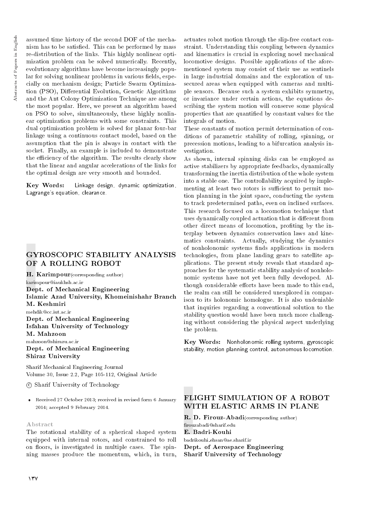assumed time history of the second DOF of the mechanism has to be satisfied. This can be performed by mass re-distribution of the links. This highly nonlinear optimization problem can be solved numerically. Recently, evolutionary algorithms have become increasingly popular for solving nonlinear problems in various fields, especially on mechanism design; Particle Swarm Optimization (PSO), Differential Evolution, Genetic Algorithms and the Ant Colony Optimization Technique are among the most popular. Here, we present an algorithm based on PSO to solve, simultaneously, these highly nonlinear optimization problems with some constraints. This dual optimization problem is solved for planar four-bar linkage using a continuous contact model, based on the assumption that the pin is always in contact with the socket. Finally, an example is included to demonstrate the efficiency of the algorithm. The results clearly show that the linear and angular accelerations of the links for the optimal design are very smooth and bounded.

Key Words: Linkage design, dynamic optimization, Lagrange's equation, clearance.

# GYROSCOPIC STABILITY ANALYSIS OF A ROLLING ROBOT

H. Karimpour(corresponding author) karimpour@iaukhsh.ac.ir Dept. of Mechanical Engineering Islamic Azad University, Khomeinishahr Branch M. Keshmiri mehdik@cc.iut.ac.ir Dept. of Mechanical Engineering Isfahan University of Technology

M. Mahzoon mahzoon@shirazu.ac.ir Dept. of Mechanical Engineering Shiraz University

Sharif Mechanical Engineering Journal Volume 30, Issue 2.2, Page 105-112, Original Article

c Sharif University of Technology

 Received 27 October 2013; received in revised form 6 January 2014; accepted 9 February 2014.

## Abstract

The rotational stability of a spherical shaped system equipped with internal rotors, and constrained to roll on floors, is investigated in multiple cases. The spinning masses produce the momentum, which, in turn,

actuates robot motion through the slip-free contact constraint. Understanding this coupling between dynamics and kinematics is crucial in exploring novel mechanical locomotive designs. Possible applications of the aforementioned system may consist of their use as sentinels in large industrial domains and the exploration of unsecured areas when equipped with cameras and multiple sensors. Because such a system exhibits symmetry, or invariance under certain actions, the equations describing the system motion will conserve some physical properties that are quantied by constant values for the integrals of motion.

These constants of motion permit determination of conditions of parametric stability of rolling, spinning, or precession motions, leading to a bifurcation analysis investigation.

As shown, internal spinning disks can be employed as active stabilizers by appropriate feedbacks, dynamically transforming the inertia distribution of the whole system into a stable one. The controllability acquired by implementing at least two rotors is sufficient to permit motion planning in the joint space, conducting the system to track predetermined paths, even on inclined surfaces. This research focused on a locomotion technique that uses dynamically coupled actuation that is different from other direct means of locomotion, proting by the interplay between dynamics conservation laws and kinematics constraints. Actually, studying the dynamics of nonholonomic systems finds applications in modern technologies, from plane landing gears to satellite applications. The present study reveals that standard approaches for the systematic stability analysis of nonholonomic systems have not yet been fully developed. Although considerable efforts have been made to this end. the realm can still be considered unexplored in comparison to its holonomic homologue. It is also undeniable that inquiries regarding a conventional solution to the stability question would have been much more challenging without considering the physical aspect underlying the problem.

Key Words: Nonholonomic rolling systems, gyroscopic stability, motion planning control, autonomous locomotion.

# FLIGHT SIMULATION OF A ROBOT WITH ELASTIC ARMS IN PLANE

R. D. Firouz-Abadi(corresponding author) rouzabadi@sharif.edu E. Badri-Kouhi badrikouhi ehsan@ae.sharif.ir Dept. of Aerospace Engineering Sharif University of Technology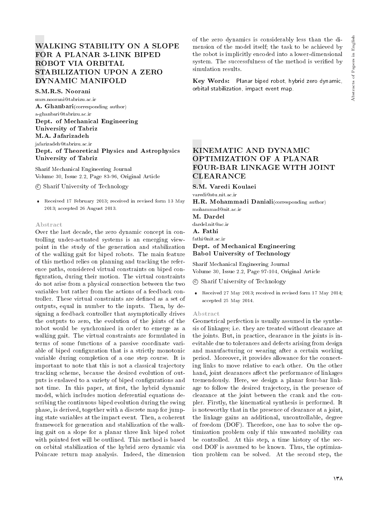# WALKING STABILITY ON A SLOPE FOR A PLANAR 3-LINK BIPED ROBOT VIA ORBITAL STABILIZATION UPON A ZERO DYNAMIC MANIFOLD

S.M.R.S. Noorani smrs.noorani@tabrizu.ac.ir A. Ghanbari(corresponding author) a-ghanbari@tabrizu.ac.ir Dept. of Mechanical Engineering University of Tabriz M.A. Jafarizadeh jafarizadeh@tabrizu.ac.ir Dept. of Theoretical Physics and Astrophysics University of Tabriz

Sharif Mechanical Engineering Journal Volume 30, Issue 2.2, Page 83-96, Original Article

c Sharif University of Technology

 Received 17 February 2013; received in revised form 13 May 2013; accepted 26 August 2013.

#### Abstract

Over the last decade, the zero dynamic concept in controlling under-actuated systems is an emerging viewpoint in the study of the generation and stabilization of the walking gait for biped robots. The main feature of this method relies on planning and tracking the reference paths, considered virtual constraints on biped con figuration, during their motion. The virtual constraints do not arise from a physical connection between the two variables but rather from the actions of a feedback controller. These virtual constraints are dened as a set of outputs, equal in number to the inputs. Then, by designing a feedback controller that asymptotically drives the outputs to zero, the evolution of the joints of the robot would be synchronized in order to emerge as a walking gait. The virtual constraints are formulated in terms of some functions of a passive coordinate variable of biped configuration that is a strictly monotonic variable during completion of a one step course. It is important to note that this is not a classical trajectory tracking scheme, because the desired evolution of outputs is enslaved to a variety of biped congurations and not time. In this paper, at first, the hybrid dynamic model, which includes motion deferential equations describing the continuous biped evolution during the swing phase, is derived, together with a discrete map for jumping state variables at the impact event. Then, a coherent framework for generation and stabilization of the walking gait on a slope for a planar three link biped robot with pointed feet will be outlined. This method is based on orbital stabilization of the hybrid zero dynamic via Poincare return map analysis. Indeed, the dimension

of the zero dynamics is considerably less than the dimension of the model itself; the task to be achieved by the robot is implicitly encoded into a lower-dimensional system. The successfulness of the method is veried by simulation results.

Key Words: Planar biped robot, hybrid zero dynamic, orbital stabilization, impact event map.

## KINEMATIC AND DYNAMIC OPTIMIZATION OF A PLANAR FOUR-BAR LINKAGE WITH JOINT **CLEARANCE**

S.M. Varedi Koulaei

varedi@stu.nit.ac.ir

H.R. Mohammadi Daniali(corresponding author) mohammad@nit.ac.ir

M. Dardel

dardel.nit@ac.ir

A. Fathi

fathi@nit.ac.ir

## Dept. of Mechanical Engineering Babol University of Technology

Sharif Mechanical Engineering Journal Volume 30, Issue 2.2, Page 97-104, Original Article

c Sharif University of Technology

 Received 27 May 2013; received in revised form 17 May 2014; accepted 25 May 2014.

#### Abstract

Geometrical perfection is usually assumed in the synthesis of linkages; i.e. they are treated without clearance at the joints. But, in practice, clearance in the joints is inevitable due to tolerances and defects arising from design and manufacturing or wearing after a certain working period. Moreover, it provides allowance for the connecting links to move relative to each other. On the other hand, joint clearances affect the performance of linkages tremendously. Here, we design a planar four-bar linkage to follow the desired trajectory, in the presence of clearance at the joint between the crank and the coupler. Firstly, the kinematical synthesis is performed. It is noteworthy that in the presence of clearance at a joint, the linkage gains an additional, uncontrollable, degree of freedom (DOF). Therefore, one has to solve the optimization problem only if this unwanted mobility can be controlled. At this step, a time history of the second DOF is assumed to be known. Thus, the optimization problem can be solved. At the second step, the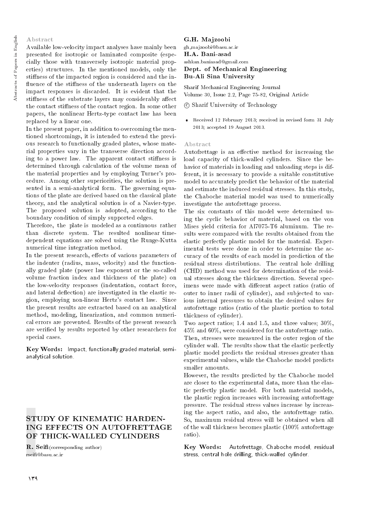## Abstract

Available low-velocity impact analyses have mainly been presented for isotropic or laminated composite (especially those with transversely isotropic material properties) structures. In the mentioned models, only the stiness of the impacted region is considered and the in fluence of the stiffness of the underneath layers on the impact responses is discarded. It is evident that the stiffness of the substrate layers may considerably affect the contact stiffness of the contact region. In some other papers, the nonlinear Hertz-type contact law has been replaced by a linear one.

In the present paper, in addition to overcoming the mentioned shortcomings, it is intended to extend the previous research to functionally graded plates, whose material properties vary in the transverse direction according to a power law. The apparent contact stiffness is determined through calculation of the volume mean of the material properties and by employing Turner's procedure. Among other superiorities, the solution is presented in a semi-analytical form. The governing equations of the plate are derived based on the classical plate theory, and the analytical solution is of a Navier-type. The proposed solution is adopted, according to the boundary condition of simply supported edges.

Therefore, the plate is modeled as a continuous rather than discrete system. The resulted nonlinear timedependent equations are solved using the Runge-Kutta numerical time integration method.

In the present research, effects of various parameters of the indenter (radius, mass, velocity) and the functionally graded plate (power law exponent or the so-called volume fraction index and thickness of the plate) on the low-velocity responses (indentation, contact force, and lateral deflection) are investigated in the elastic region, employing non-linear Hertz's contact law. Since the present results are extracted based on an analytical method, modeling, linearization, and common numerical errors are prevented. Results of the present research are veried by results reported by other researchers for special cases.

Key Words: Impact, functionally graded material, semianalytical solution.

# STUDY OF KINEMATIC HARDEN-ING EFFECTS ON AUTOFRETTAGE OF THICK-WALLED CYLINDERS

 $\mathbf{R.}$  Seifi(corresponding author) rsei@basu.ac.ir

## G.H. Majzoobi gh majzoobi@basu.ac.ir H.A. Bani-asad ashkan.baniasad@gmail.com Dept. of Mechanical Engineering Bu-Ali Sina University

Sharif Mechanical Engineering Journal Volume 30, Issue 2.2, Page 75-82, Original Article

c Sharif University of Technology

 Received 12 February 2013; received in revised form 31 July 2013; accepted 19 August 2013.

#### Abstract

Autofrettage is an effective method for increasing the load capacity of thick-walled cylinders. Since the behavior of materials in loading and unloading steps is different, it is necessary to provide a suitable constitutive model to accurately predict the behavior of the material and estimate the induced residual stresses. In this study, the Chaboche material model was used to numerically investigate the autofrettage process.

The six constants of this model were determined using the cyclic behavior of material, based on the von Mises yield criteria for Al7075-T6 aluminum. The results were compared with the results obtained from the elastic perfectly plastic model for the material. Experimental tests were done in order to determine the accuracy of the results of each model in prediction of the residual stress distributions. The central hole drilling (CHD) method was used for determination of the residual stresses along the thickness direction. Several specimens were made with different aspect ratios (ratio of outer to inner radii of cylinder), and subjected to various internal pressures to obtain the desired values for autofrettage ratios (ratio of the plastic portion to total thickness of cylinder).

Two aspect ratios; 1.4 and 1.5, and three values; 30%, 45% and 60%, were considered for the autofrettage ratio. Then, stresses were measured in the outer region of the cylinder wall. The results show that the elastic perfectly plastic model predicts the residual stresses greater than experimental values, while the Chaboche model predicts smaller amounts.

However, the results predicted by the Chaboche model are closer to the experimental data, more than the elastic perfectly plastic model. For both material models, the plastic region increases with increasing autofrettage pressure. The residual stress values increase by increasing the aspect ratio, and also, the autofrettage ratio. So, maximum residual stress will be obtained when all of the wall thickness becomes plastic (100% autofrettage ratio).

Key Words: Autofrettage, Chaboche model, residual stress, central hole drilling, thick-walled cylinder.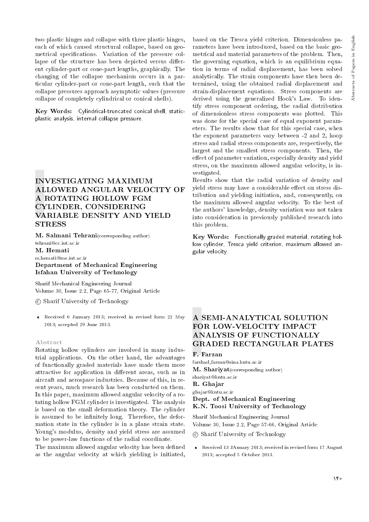two plastic hinges and collapse with three plastic hinges, each of which caused structural collapse, based on geometrical specifications. Variation of the pressure collapse of the structure has been depicted versus different cylinder-part or cone-part lengths, graphically. The changing of the collapse mechanism occurs in a particular cylinder-part or cone-part length, such that the collapse pressures approach asymptotic values (pressure collapse of completely cylindrical or conical shells).

Key Words: Cylindrical-truncated conical shell, staticplastic analysis, internal collapse pressure.

## INVESTIGATING MAXIMUM ALLOWED ANGULAR VELOCITY OF A ROTATING HOLLOW FGM CYLINDER, CONSIDERING VARIABLE DENSITY AND YIELD STRESS

M. Salmani Tehrani(corresponding author) tehrani@cc.iut.ac.ir

## M. Hemati

m.hemati@me.iut.ac.ir Department of Mechanical Engineering Isfahan University of Technology

Sharif Mechanical Engineering Journal Volume 30, Issue 2.2, Page 65-77, Original Article

c Sharif University of Technology

 Received 6 January 2013; received in revised form 22 May 2013; accepted 29 June 2013.

#### Abstract

Rotating hollow cylinders are involved in many industrial applications. On the other hand, the advantages of functionally graded materials have made them more attractive for application in different areas, such as in aircraft and aerospace industries. Because of this, in recent years, much research has been conducted on them. In this paper, maximum allowed angular velocity of a rotating hollow FGM cylinder is investigated. The analysis is based on the small deformation theory. The cylinder is assumed to be infinitely long. Therefore, the deformation state in the cylinder is in a plane strain state. Young's modulus, density and yield stress are assumed to be power-law functions of the radial coordinate.

The maximum allowed angular velocity has been defined as the angular velocity at which yielding is initiated, based on the Tresca yield criterion. Dimensionless parameters have been introduced, based on the basic geometrical and material parameters of the problem. Then, the governing equation, which is an equilibrium equation in terms of radial displacement, has been solved analytically. The strain components have then been determined, using the obtained radial displacement and strain-displacement equations. Stress components are derived using the generalized Hook's Law. To identify stress component ordering, the radial distribution of dimensionless stress components was plotted. This was done for the special case of equal exponent parameters. The results show that for this special case, when the exponent parameters vary between -2 and 2, hoop stress and radial stress components are, respectively, the largest and the smallest stress components. Then, the effect of parameter variation, especially density and yield stress, on the maximum allowed angular velocity, is investigated.

Results show that the radial variation of density and yield stress may have a considerable effect on stress distribution and yielding initiation, and, consequently, on the maximum allowed angular velocity. To the best of the authors' knowledge, density variation was not taken into consideration in previously published research into this problem.

Key Words: Functionally graded material, rotating hollow cylinder, Tresca yield criterion, maximum allowed angular velocity.

# A SEMI-ANALYTICAL SOLUTION FOR LOW-VELOCITY IMPACT ANALYSIS OF FUNCTIONALLY GRADED RECTANGULAR PLATES

F. Farzan

farshad farzan@sina.kntu.ac.ir M. Shariyat(corresponding author) shariyat@kntu.ac.ir R. Ghajar ghajar@kntu.ac.ir Dept. of Mechanical Engineering K.N. Toosi University of Technology

Sharif Mechanical Engineering Journal Volume 30, Issue 2.2, Page 57-66, Original Article

c Sharif University of Technology

 Received 13 JAnuary 2013; received in revised form 17 August 2013; accepted 5 October 2013.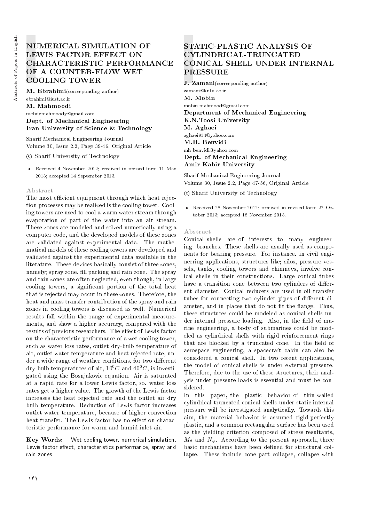# NUMERICAL SIMULATION OF LEWIS FACTOR EFFECT ON CHARACTERISTIC PERFORMANCE OF A COUNTER-FLOW WET COOLING TOWER

M. Ebrahimi(corresponding author) ebrahimi@iust.ac.ir M. Mahmoodi mehdymahmoody@gmail.com

Dept. of Mechanical Engineering Iran University of Science & Technology

Sharif Mechanical Engineering Journal Volume 30, Issue 2.2, Page 39-46, Original Article

c Sharif University of Technology

 Received 4 November 2012; received in revised form 11 May 2013; accepted 14 September 2013.

#### Abstract

The most efficient equipment through which heat rejection processes may be realized is the cooling tower. Cooling towers are used to cool a warm water stream through evaporation of part of the water into an air stream. These zones are modeled and solved numerically using a computer code, and the developed models of these zones are validated against experimental data. The mathematical models of these cooling towers are developed and validated against the experimental data available in the literature. These devices basically consist of three zones, namely; spray zone, fill packing and rain zone. The spray and rain zones are often neglected, even though, in large cooling towers, a signicant portion of the total heat that is rejected may occur in these zones. Therefore, the heat and mass transfer contribution of the spray and rain zones in cooling towers is discussed as well. Numerical results fall within the range of experimental measurements, and show a higher accuracy, compared with the results of previous researchers. The effect of Lewis factor on the characteristic performance of a wet cooling tower, such as water loss rates, outlet dry-bulb temperature of air, outlet water temperature and heat rejected rate, under a wide range of weather conditions, for two different dry bulb temperatures of air,  $10^{0}C$  and  $40^{0}C$ , is investigated using the Bosnjakovic equation. Air is saturated at a rapid rate for a lower Lewis factor, so, water loss rates get a higher value. The growth of the Lewis factor increases the heat rejected rate and the outlet air dry bulb temperature. Reduction of Lewis factor increases outlet water temperature, because of higher convection heat transfer. The Lewis factor has no effect on characteristic performance for warm and humid inlet air.

Key Words: Wet cooling tower, numerical simulation, Lewis factor effect, characteristics performance, spray and rain zones.

# STATIC-PLASTIC ANALYSIS OF CYLINDRICAL-TRUNCATED CONICAL SHELL UNDER INTERNAL PRESSURE

J. Zamani(corresponding author) zamani@kntu.ac.ir M. Mobin mobin.mahmood@gmail.com Department of Mechanical Engineering K.N.Toosi University M. Aghaei aghaei934@yahoo.com M.H. Benvidi mh benvidi@yahoo.com Dept. of Mechanical Engineering Amir Kabir University

Sharif Mechanical Engineering Journal Volume 30, Issue 2.2, Page 47-56, Original Article

c Sharif University of Technology

 Received 28 November 2012; received in revised form 22 October 2013; accepted 18 November 2013.

#### Abstract

Conical shells are of interests to many engineering branches. These shells are usually used as components for bearing pressure. For instance, in civil engineering applications, structures like; silos, pressure vessels, tanks, cooling towers and chimneys, involve conical shells in their constructions. Large conical tubes have a transition cone between two cylinders of different diameter. Conical reducers are used in oil transfer tubes for connecting two cylinder pipes of different diameter, and in places that do not fit the flange. Thus, these structures could be modeled as conical shells under internal pressure loading. Also, in the field of marine engineering, a body of submarines could be modeled as cylindrical shells with rigid reinforcement rings that are blocked by a truncated cone. In the field of aerospace engineering, a spacecraft cabin can also be considered a conical shell. In two recent applications, the model of conical shells is under external pressure. Therefore, due to the use of these structures, their analysis under pressure loads is essential and must be considered.

In this paper, the plastic behavior of thin-walled cylindrical-truncated conical shells under static internal pressure will be investigated analytically. Towards this aim, the material behavior is assumed rigid-perfectly plastic, and a common rectangular surface has been used as the yielding criterion composed of stress resultants,  $M_{\theta}$  and  $N_{\varphi}$ . According to the present approach, three basic mechanisms have been defined for structural collapse. These include cone-part collapse, collapse with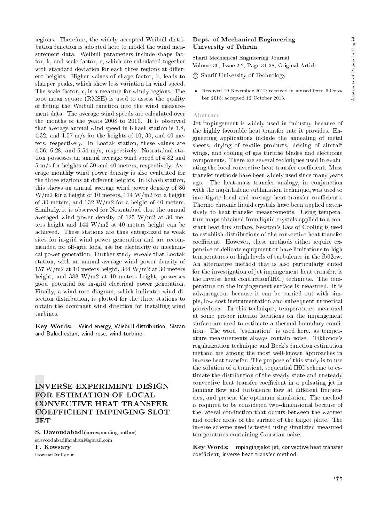regions. Therefore, the widely accepted Weibull distribution function is adopted here to model the wind measurement data. Weibull parameters include shape factor, k, and scale factor, c, which are calculated together with standard deviation for each three regions at different heights. Higher values of shape factor, k, leads to sharper peaks, which show less variation in wind speed. The scale factor, c, is a measure for windy regions. The root mean square (RMSE) is used to assess the quality of fitting the Weibull function into the wind measurement data. The average wind speeds are calculated over the months of the years 2008 to 2010. It is observed that average annual wind speed in Khash station is 3.8, 4.32, and 4.57 m/s for the heights of 10, 30, and 40 meters, respectively. In Lootak station, these values are 4.56, 6.28, and 6.54 m/s, respectively. Nosratabad station possesses an annual average wind speed of 4.82 and 5 m/s for heights of 30 and 40 meters, respectively. Average monthly wind power density is also evaluated for the three stations at different heights. In Khash station, this shows an annual average wind power density of 86 W/m2 for a height of 10 meters, 114 W/m2 for a height of 30 meters, and 132 W/m2 for a height of 40 meters. Similarly, it is observed for Nosratabad that the annual averaged wind power density of 125 W/m2 at 30 meters height and 144 W/m2 at 40 meters height can be achieved. These stations are thus categorized as weak sites for in-grid wind power generation and are recommended for off-grid local use for electricity or mechanical power generation. Further study reveals that Lootak station, with an annual average wind power density of  $157 \text{ W/m2}$  at 10 meters height, 344 W/m2 at 30 meters height, and 388 W/m2 at 40 meters height, possesses good potential for in-grid electrical power generation. Finally, a wind rose diagram, which indicates wind direction distribution, is plotted for the three stations to obtain the dominant wind direction for installing wind turbines.

Key Words: Wind energy, Wiebull distribution, Sistan and Baluchestan, wind rose, wind turbine.

## INVERSE EXPERIMENT DESIGN FOR ESTIMATION OF LOCAL CONVECTIVE HEAT TRANSFER COEFFICIENT IMPINGING SLOT **JET**

S. Davoudabadi(corresponding author) sdavoodabadifarahani@gmail.com F. Kowsary fkowsari@ut.ac.ir

## Dept. of Mechanical Engineering University of Tehran

Sharif Mechanical Engineering Journal Volume 30, Issue 2.2, Page 31-38, Original Article

c Sharif University of Technology

 Received 19 November 2012; received in revised form 6 October 2013; accepted 12 October 2013.

#### Abstract

Jet impingement is widely used in industry because of the highly favorable heat transfer rate it provides. Engineering applications include the annealing of metal sheets, drying of textile products, deicing of aircraft wings, and cooling of gas turbine blades and electronic components. There are several techniques used in evaluating the local convective heat transfer coefficient. Mass transfer methods have been widely used since many years ago. The heat-mass transfer analogy, in conjunction with the naphthalene sublimation technique, was used to investigate local and average heat transfer coefficients. Thermo chromic liquid crystals have been applied extensively to heat transfer measurements. Using temperature maps obtained from liquid crystals applied to a constant heat flux surface, Newton's Law of Cooling is used to establish distributions of the convective heat transfer coefficient. However, these methods either require expensive or delicate equipment or have limitations to high temperatures or high levels of turbulence in the fb02ow. An alternative method that is also particularly suited for the investigation of jet impingement heat transfer, is the inverse heat conduction(IHC) technique. The temperature on the impingement surface is measured. It is advantageous because it can be carried out with simple, low-cost instrumentation and subsequent numerical procedures. In this technique, temperatures measured at some proper interior locations on the impingement surface are used to estimate a thermal boundary condition. The word "estimation" is used here, as temperature measurements always contain noise. Tikhonov's regularization technique and Beck's function estimation method are among the most well-known approaches in inverse heat transfer. The purpose of this study is to use the solution of a transient, sequential IHC scheme to estimate the distribution of the steady-state and unsteady convective heat transfer coefficient in a pulsating jet in laminar flow and turbulence flow at different frequencies, and present the optimum simulation. The method is required to be considered two-dimensional because of the lateral conduction that occurs between the warmer and cooler areas of the surface of the target plate. The inverse scheme used is tested using simulated measured temperatures containing Gaussian noise.

Key Words: Impinging slot jet, convective heat transfer coefficient, inverse heat transfer method.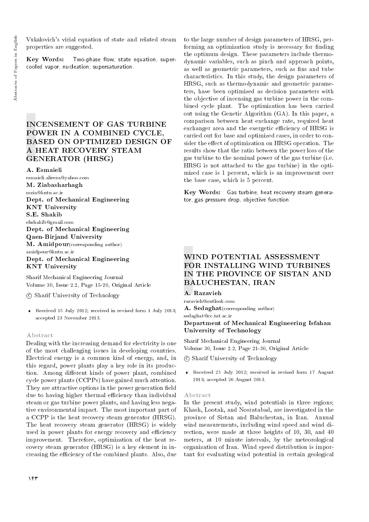Vukalovich's virial equation of state and related steam properties are suggested.

Key Words: Two-phase flow, state equation, supercooled vapor, nucleation, supersaturation.

## INCENSEMENT OF GAS TURBINE POWER IN A COMBINED CYCLE, BASED ON OPTIMIZED DESIGN OF A HEAT RECOVERY STEAM GENERATOR (HRSG)

A. Esmaieli

esmaieli.alireza@yahoo.com M. Ziabasharhagh mzia@kntu.ac.ir Dept. of Mechanical Engineering KNT University S.E. Shakib ehshakib@gmail.com Dept. of Mechanical Engineering Qaen-Birjand University M. Amidpour(corresponding author) amidpour@kntu.ac.ir Dept. of Mechanical Engineering KNT University

Sharif Mechanical Engineering Journal Volume 30, Issue 2.2, Page 15-20, Original Article

c Sharif University of Technology

 Received 15 July 2012; received in revised form 1 July 2013; accepted 23 November 2013.

#### Abstract

Dealing with the increasing demand for electricity is one of the most challenging issues in developing countries. Electrical energy is a common kind of energy, and, in this regard, power plants play a key role in its production. Among different kinds of power plant, combined cycle power plants (CCPPs) have gained much attention. They are attractive options in the power generation field due to having higher thermal efficiency than individual steam or gas turbine power plants, and having less negative environmental impact. The most important part of a CCPP is the heat recovery steam generator (HRSG). The heat recovery steam generator (HRSG) is widely used in power plants for energy recovery and efficiency improvement. Therefore, optimization of the heat recovery steam generator (HRSG) is a key element in increasing the eciency of the combined plants. Also, due

to the large number of design parameters of HRSG, performing an optimization study is necessary for finding the optimum design. These parameters include thermodynamic variables, such as pinch and approach points, as well as geometric parameters, such as fins and tube characteristics. In this study, the design parameters of HRSG, such as thermodynamic and geometric parameters, have been optimized as decision parameters with the objective of incensing gas turbine power in the combined cycle plant. The optimization has been carried out using the Genetic Algorithm (GA). In this paper, a comparison between heat exchange rate, required heat exchanger area and the exergetic efficiency of HRSG is carried out for base and optimized cases, in order to consider the effect of optimization on HRSG operation. The results show that the ratio between the power loss of the gas turbine to the nominal power of the gas turbine (i.e. HRSG is not attached to the gas turbine) in the optimized case is 1 percent, which is an improvement over the base case, which is 5 percent.

Key Words: Gas turbine, heat recovery steam generator, gas pressure drop, objective function.

# WIND POTENTIAL ASSESSMENT FOR INSTALLING WIND TURBINES IN THE PROVINCE OF SISTAN AND BALUCHESTAN, IRAN

## A. Razavieh

razavieh@outlook.com A. Sedaghat(corresponding author)

sedaghat@cc.iut.ac.ir

Department of Mechanical Engineering Isfahan University of Technology

Sharif Mechanical Engineering Journal Volume 30, Issue 2.2, Page 21-30, Original Article

c Sharif University of Technology

 Received 25 July 2012; received in revised form 17 August 2013; accepted 26 August 2013.

#### Abstract

In the present study, wind potentials in three regions; Khash, Lootak, and Nosratabad, are investigated in the province of Sistan and Baluchestan, in Iran. Annual wind measurements, including wind speed and wind direction, were made at three heights of 10, 30, and 40 meters, at 10 minute intervals, by the meteorological organization of Iran. Wind speed distribution is important for evaluating wind potential in certain geological